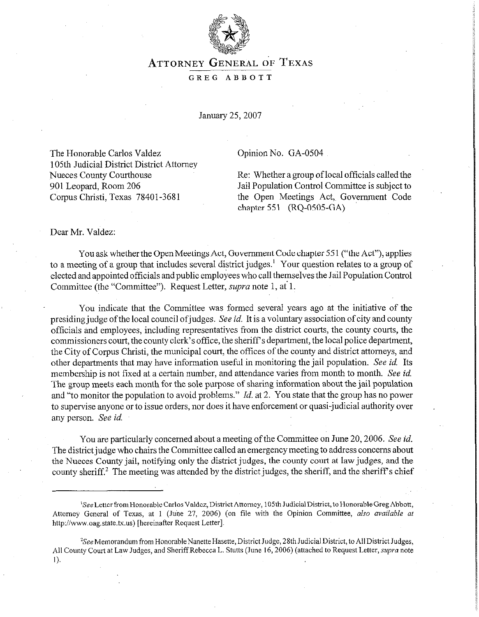

## **ATTORNEY GENERAL OF TEXAS**

## **GREG ABBOTT**

January 25,2007

The Honorable Carlos Valdez 105th Judicial District District Attorney Nueces County Courthouse 901 Leopard, Room 206 Corpus Christi, Texas 78401-3681

Opinion No. GA-0504

Re: Whether a group of local officials called the Jail Population Control Committee is subject to the Open Meetings Act, Government Code chapter 551 (RQ-0505-GA)

Dear Mr. Valdez:

You ask whether the Open Meetings Act, Government Code chapter 551 ("the Act"), applies to a meeting of a group that includes several district judges.<sup>1</sup> Your question relates to a group of elected and appointed officials and public employees who call themselves the Jail Population Control Committee (the "Committee"). Request Letter, *supra* note 1, at 1.

You indicate that the Committee was formed several years ago at the initiative of the presiding judge of the local council of judges. See *id.* It is a voluntary association of city and county officials and employees, including representatives from the district courts, the county courts, the commissioners court, the county clerk's office, the sheriff's department, the local police department, the City of Corpus Christi, the municipal court, the offices of the county and district attorneys, and other departments that may have information useful in monitoring the jail population. See *id.* Its membership is not fixed at a certain number, and attendance varies from month to month. See *id.*  The group meets each month for the sole purpose of sharing information about the jail population and "to monitor the population to avoid problems." *Id.* at 2. You state that the group has no power to supervise anyone or to issue orders, nor does it have enforcement or quasi-judicial authority over any person. See *id.* 

You are particularly concerned about a meeting of the Committee on June 20,2006. See *id.*  The district judge who chairs the Committee called an emergency meeting to address concerns about the Nueces County jail, notifying only the district judges, the county court at law judges, and the county sheriff.<sup>2</sup> The meeting was attended by the district judges, the sheriff, and the sheriff's chief

<sup>&</sup>lt;sup>1</sup>See Letter from Honorable Carlos Valdez, District Attorney, 105th Judicial District, to Honorable Greg Abbott, Attorney General of Texas, at 1 (June 27, 2006) (on file with the Opinion Committee, also *available at* http://www.oag.state.tx.us) [hereinafter Request Letter].

<sup>&#</sup>x27;See Memorandum from Honorable Nanette Hasette, District Judge, 28th Judicial District, to All District Judges, All County Court at Law Judges, and Sheriff Rebecca L. Stutts (June 16, 2006) (attached to Request Letter, *supra* note 1).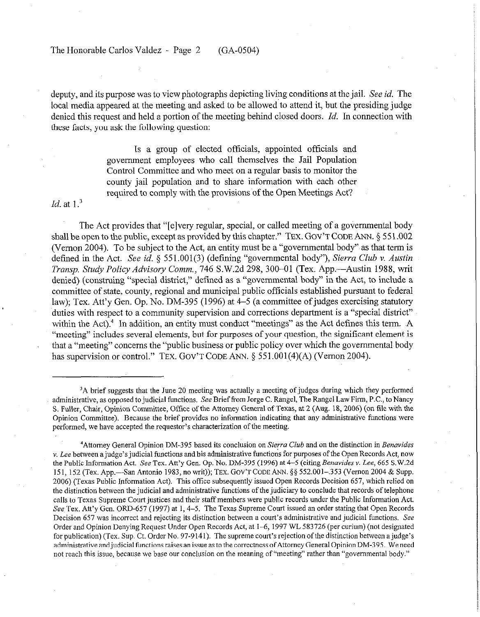deputy, and its purpose was to view photographs depicting living conditions at the jail. See *id.* The local media appeared at the meeting and asked to be allowed to attend it, but the presiding judge denied this request and held a portion of the meeting behind closed doors. *Id.* In connection with these facts, you ask the following question:

> Is a group of elected officials, appointed officials and government employees who call themselves the Jail Population Control Committee and who meet on a regular basis to monitor the county jail population and to share information with each other required to comply with the provisions of the Open Meetings Act?

*Id.* at 1.<sup>3</sup>

The Act provides that "[elvery regular, special, or called meeting of a governmental body shall be open to the public, except as provided by this chapter." TEX. GOV'T CODE ANN.  $\S 551.002$ (Vernon 2004). To be subject to the Act, an entity must be a "governmental body" as that term is defined in the Act. See *id.* § 551.001(3) (defining "governmental body"), *Sierra Club v. Austin Tramp. Study Policy Advisory* Comm., 146 S.W.2d 298, 300-01 (Tex. App.-Austin 1988, writ denied) (construing "special district," defined as a "governmental body" in the Act, to include a committee of state, county, regional and municipal public officials established pursuant to federal law); Tex. Att'y Gen. Op. No. DM-395 (1996) at 4-5 (a committee of judges exercising statutory duties with respect to a community supervision and corrections department is a "special district" within the Act). $4$  In addition, an entity must conduct "meetings" as the Act defines this term. A "meeting" includes several elements, but for purposes of your question, the significant element is that a "meeting" concerns the "public business or public policy over which the governmental body has supervision or control." TEX. GOV'T CODE ANN. § 551.001(4)(A) (Vernon 2004).

<sup>&</sup>lt;sup>3</sup>A brief suggests that the June 20 meeting was actually a meeting of judges during which they performed administrative, as opposed to judicial functions. See Brief from Jorge C. Rangel, The Range1 Law Firm, P.C., to Nancy S. Fuller, Chair, Opinion Committee, Office of the Attorney General of Texas, at 2 (Aug. 18,2006) (on file with the Opinion Committee). Because the brief provides no information indicating that any administrative functions were performed, we have accepted the requestor's characterization of the meeting.

<sup>&#</sup>x27;Attorney General Opinion DM-395 based its conclusion on sierra *Club* and on the distinction in *Benmides*  Y. *Lee* between a judge's judicial functions and his admiiistrative functions for purposes of the Open Records Act, now the Public Information Act. See Tex. Att'y Gen. Op. No. DM-395 (1996) at 4-5 (citing *Benavides v. Lee, 665* S.W.2d 151, 152 (Tex. App.—San Antonio 1983, no writ)); TEX. GOV'T CODE ANN. §§ 552.001-.353 (Vernon 2004 & Supp. 2006) (Texas Public Information Act). This office subsequently issued Open Records Decision 657, which relied on the distinction between the judicial and administrative functions of the judiciary to conclude that records of telephone calls to Texas Supreme Court justices and their staff members were public records under the Public Information Act. See Tex. Att'y Gen. ORD-657 (1997) at 1, 4–5. The Texas Supreme Court issued an order stating that Open Records Decision 657 was incorrect and rejecting its distinction between a court's administrative and judicial functions. See Order and Opinion Denying Request Under Open Records Act, at 1-6, 1997 WL 583726 (per curium) (not designated for publication) (Tex. Sup. Ct. Order No. 97-9141). The supreme court's rejection ofthe distinction between a judge's administrative and judicial functions raises an issue as to the correctness ofAttorney General Opinion DM-395. We need not reach this issue, because we base our conclusion on the meaning of "meeting" rather than "governmental body."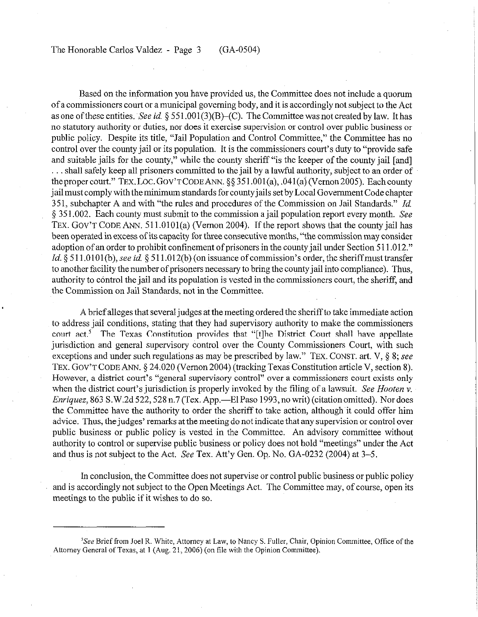Based on the information you have provided us, the Committee does not include a quorum of a commissioners court or a municipal governing body, and it is accordingly not subject to the Act as one of these entities. See *id.* 3 55 1,001(3)(B)-(C). The Committee was not created by law. It has no statutory authority or duties, nor does it exercise supervision or control over public business or public policy. Despite its title, "Jail Population and Control Committee," the Committee has no control over the county jail or its population. It is the commissioners court's duty to "provide safe and suitable jails for the county," while the county sheriff "is the keeper of the county jail [and] ... shall safely keep all prisoners committed to the jail by a lawful authority, subject to an order of the proper court." TEX. LOC. GOV'T CODE ANN.  $\S$ § 351.001(a),.041(a) (Vernon 2005). Each county jail must comply with the minimum standards for countyj ails set by Local Government Code chapter 351, subchapter A and with "the rules and procedures of the Commission on Jail Standards." *Id.*  5 35 1.002. Each county must submit to the commission a jail population report every month. See TEX. GOV'T CODE ANN. 511.0101(a) (Vernon 2004). If the report shows that the county jail has been operated in excess of its capacity for three consecutive months, "the commission may consider adoption of an order to prohibit confinement of prisoners in the county jail under Section 511.012." Id. § 511.0101(b), see id. § 511.012(b) (on issuance of commission's order, the sheriff must transfer to another facility the number of prisoners necessary to bring the county jail into compliance). Thus, authority to control the jail and its population is vested in the commissioners court, the sheriff, and the Commission on Jail Standards, not in the Committee.

A brief alleges that several judges at the meeting ordered the sheriff to take immediate action to address jail conditions, stating that they had supervisory authority to make the commissioners court act.<sup>5</sup> The Texas Constitution provides that "[t]he District Court shall have appellate jurisdiction and general supervisory control over the County Commissioners Court, with such exceptions and under such regulations as may be prescribed by law." TEX. CONST. art. V, § 8; see TEX. GOV'T CODE ANN. \$24.020 (Vernon 2004) (tracking Texas Constitution article V, section 8). However, a district court's "general supervisory control" over a commissioners court exists only when the district court's jurisdiction is properly invoked by the filing of a lawsuit. *See Hooten v. Enriquez*, 863 S.W.2d 522, 528 n.7 (Tex. App.—El Paso 1993, no writ) (citation omitted). Nor does the Committee have the authority to order the sheriff to take action, although it could offer him advice. Thus, the judges' remarks at the meeting do not indicate that any supervision or control over public business or public policy is vested in the Committee. An advisory committee without authority to control or supervise public business or policy does not hold "meetings" under the Act and thus is not subject to the Act. See Tex. Att'y Gen. Op. No. GA-0232 (2004) at 3-5.

In conclusion, the Committee does not supervise or control public business or public policy and is accordingly not subject to the Open Meetings Act. The Committee may, of course, open its meetings to the public if it wishes to do so.

<sup>&</sup>lt;sup>5</sup>See Brief from Joel R. White, Attorney at Law, to Nancy S. Fuller, Chair, Opinion Committee, Office of the Attorney General of Texas, at I (Aug. 21,2006) (on file with the Opinion Committee).